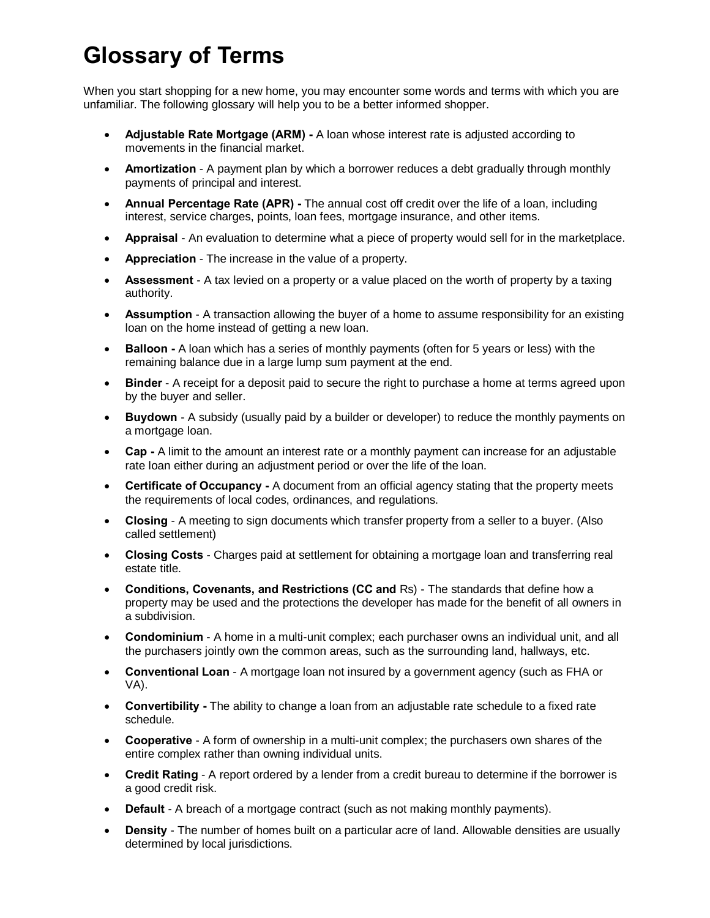## **Glossary of Terms**

When you start shopping for a new home, you may encounter some words and terms with which you are unfamiliar. The following glossary will help you to be a better informed shopper.

- · **Adjustable Rate Mortgage (ARM) -** A loan whose interest rate is adjusted according to movements in the financial market.
- · **Amortization** A payment plan by which a borrower reduces a debt gradually through monthly payments of principal and interest.
- · **Annual Percentage Rate (APR) -** The annual cost off credit over the life of a loan, including interest, service charges, points, loan fees, mortgage insurance, and other items.
- · **Appraisal** An evaluation to determine what a piece of property would sell for in the marketplace.
- · **Appreciation** The increase in the value of a property.
- · **Assessment** A tax levied on a property or a value placed on the worth of property by a taxing authority.
- · **Assumption** A transaction allowing the buyer of a home to assume responsibility for an existing loan on the home instead of getting a new loan.
- · **Balloon -** A loan which has a series of monthly payments (often for 5 years or less) with the remaining balance due in a large lump sum payment at the end.
- · **Binder**  A receipt for a deposit paid to secure the right to purchase a home at terms agreed upon by the buyer and seller.
- · **Buydown** A subsidy (usually paid by a builder or developer) to reduce the monthly payments on a mortgage loan.
- · **Cap -** A limit to the amount an interest rate or a monthly payment can increase for an adjustable rate loan either during an adjustment period or over the life of the loan.
- · **Certificate of Occupancy -** A document from an official agency stating that the property meets the requirements of local codes, ordinances, and regulations.
- · **Closing** A meeting to sign documents which transfer property from a seller to a buyer. (Also called settlement)
- · **Closing Costs** Charges paid at settlement for obtaining a mortgage loan and transferring real estate title.
- · **Conditions, Covenants, and Restrictions (CC and** Rs) The standards that define how a property may be used and the protections the developer has made for the benefit of all owners in a subdivision.
- · **Condominium** A home in a multi-unit complex; each purchaser owns an individual unit, and all the purchasers jointly own the common areas, such as the surrounding land, hallways, etc.
- · **Conventional Loan** A mortgage loan not insured by a government agency (such as FHA or VA).
- · **Convertibility -** The ability to change a loan from an adjustable rate schedule to a fixed rate schedule.
- · **Cooperative** A form of ownership in a multi-unit complex; the purchasers own shares of the entire complex rather than owning individual units.
- · **Credit Rating** A report ordered by a lender from a credit bureau to determine if the borrower is a good credit risk.
- · **Default** A breach of a mortgage contract (such as not making monthly payments).
- · **Density** The number of homes built on a particular acre of land. Allowable densities are usually determined by local jurisdictions.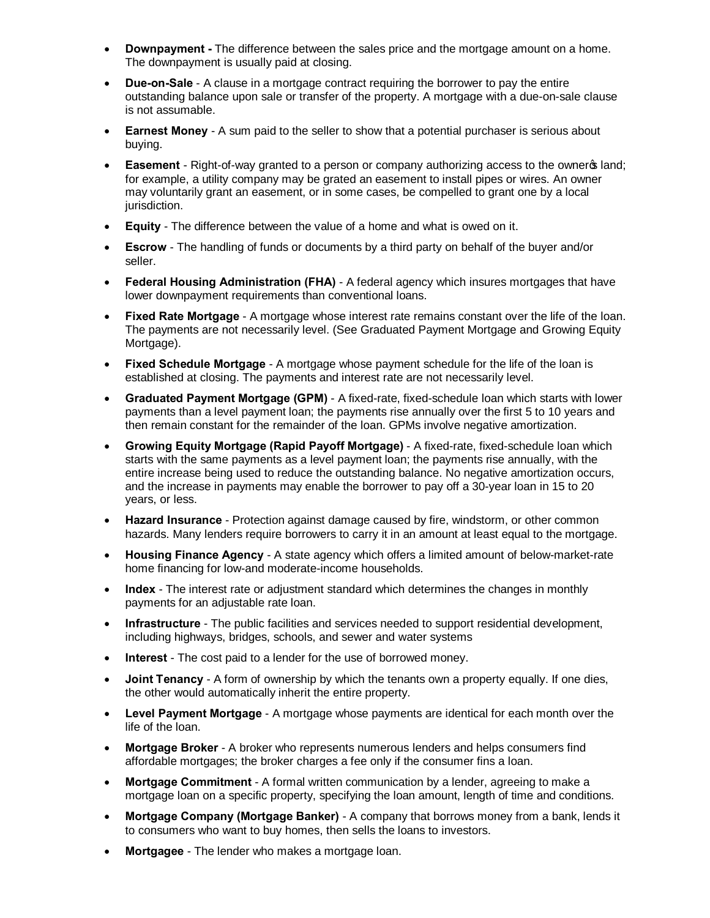- **Downpayment** The difference between the sales price and the mortgage amount on a home. The downpayment is usually paid at closing.
- · **Due-on-Sale** A clause in a mortgage contract requiring the borrower to pay the entire outstanding balance upon sale or transfer of the property. A mortgage with a due-on-sale clause is not assumable.
- · **Earnest Money** A sum paid to the seller to show that a potential purchaser is serious about buying.
- **Easement** Right-of-way granted to a person or company authorizing access to the ownerg land; for example, a utility company may be grated an easement to install pipes or wires. An owner may voluntarily grant an easement, or in some cases, be compelled to grant one by a local jurisdiction.
- · **Equity** The difference between the value of a home and what is owed on it.
- · **Escrow** The handling of funds or documents by a third party on behalf of the buyer and/or seller.
- · **Federal Housing Administration (FHA)** A federal agency which insures mortgages that have lower downpayment requirements than conventional loans.
- · **Fixed Rate Mortgage** A mortgage whose interest rate remains constant over the life of the loan. The payments are not necessarily level. (See Graduated Payment Mortgage and Growing Equity Mortgage).
- **Fixed Schedule Mortgage** A mortgage whose payment schedule for the life of the loan is established at closing. The payments and interest rate are not necessarily level.
- · **Graduated Payment Mortgage (GPM)** A fixed-rate, fixed-schedule loan which starts with lower payments than a level payment loan; the payments rise annually over the first 5 to 10 years and then remain constant for the remainder of the loan. GPMs involve negative amortization.
- · **Growing Equity Mortgage (Rapid Payoff Mortgage)** A fixed-rate, fixed-schedule loan which starts with the same payments as a level payment loan; the payments rise annually, with the entire increase being used to reduce the outstanding balance. No negative amortization occurs, and the increase in payments may enable the borrower to pay off a 30-year loan in 15 to 20 years, or less.
- · **Hazard Insurance** Protection against damage caused by fire, windstorm, or other common hazards. Many lenders require borrowers to carry it in an amount at least equal to the mortgage.
- · **Housing Finance Agency** A state agency which offers a limited amount of below-market-rate home financing for low-and moderate-income households.
- · **Index** The interest rate or adjustment standard which determines the changes in monthly payments for an adjustable rate loan.
- · **Infrastructure** The public facilities and services needed to support residential development, including highways, bridges, schools, and sewer and water systems
- · **Interest** The cost paid to a lender for the use of borrowed money.
- · **Joint Tenancy** A form of ownership by which the tenants own a property equally. If one dies, the other would automatically inherit the entire property.
- · **Level Payment Mortgage** A mortgage whose payments are identical for each month over the life of the loan.
- · **Mortgage Broker** A broker who represents numerous lenders and helps consumers find affordable mortgages; the broker charges a fee only if the consumer fins a loan.
- · **Mortgage Commitment** A formal written communication by a lender, agreeing to make a mortgage loan on a specific property, specifying the loan amount, length of time and conditions.
- · **Mortgage Company (Mortgage Banker)** A company that borrows money from a bank, lends it to consumers who want to buy homes, then sells the loans to investors.
- **Mortgagee** The lender who makes a mortgage loan.